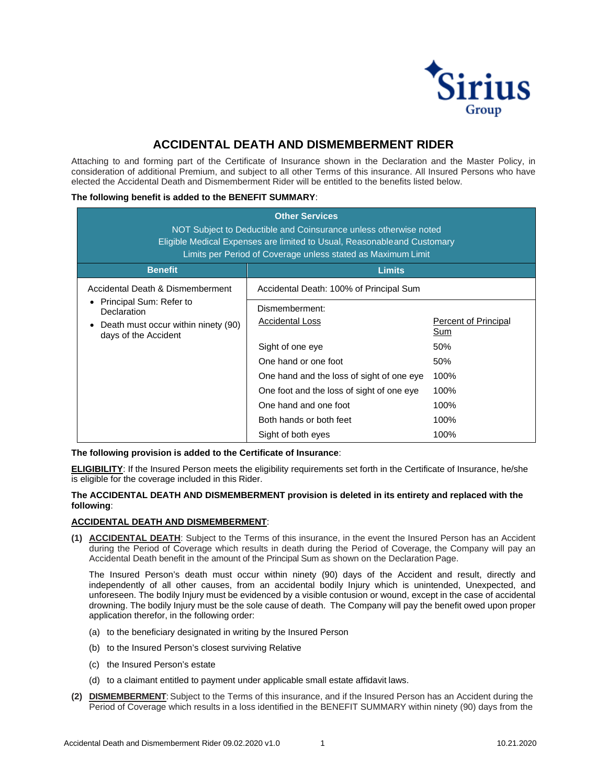

# **ACCIDENTAL DEATH AND DISMEMBERMENT RIDER**

Attaching to and forming part of the Certificate of Insurance shown in the Declaration and the Master Policy, in consideration of additional Premium, and subject to all other Terms of this insurance. All Insured Persons who have elected the Accidental Death and Dismemberment Rider will be entitled to the benefits listed below.

#### **The following benefit is added to the BENEFIT SUMMARY**:

| <b>Other Services</b><br>NOT Subject to Deductible and Coinsurance unless otherwise noted<br>Eligible Medical Expenses are limited to Usual, Reasonableand Customary<br>Limits per Period of Coverage unless stated as Maximum Limit |                                           |                             |
|--------------------------------------------------------------------------------------------------------------------------------------------------------------------------------------------------------------------------------------|-------------------------------------------|-----------------------------|
| <b>Benefit</b>                                                                                                                                                                                                                       | <b>Limits</b>                             |                             |
| Accidental Death & Dismemberment<br>• Principal Sum: Refer to<br>Declaration<br>Death must occur within ninety (90)<br>days of the Accident                                                                                          | Accidental Death: 100% of Principal Sum   |                             |
|                                                                                                                                                                                                                                      | Dismemberment:<br><b>Accidental Loss</b>  | Percent of Principal<br>Sum |
|                                                                                                                                                                                                                                      | Sight of one eye                          | 50%                         |
|                                                                                                                                                                                                                                      | One hand or one foot                      | 50%                         |
|                                                                                                                                                                                                                                      | One hand and the loss of sight of one eye | 100%                        |
|                                                                                                                                                                                                                                      | One foot and the loss of sight of one eye | 100%                        |
|                                                                                                                                                                                                                                      | One hand and one foot                     | 100%                        |
|                                                                                                                                                                                                                                      | Both hands or both feet                   | 100%                        |
|                                                                                                                                                                                                                                      | Sight of both eyes                        | 100%                        |

#### **The following provision is added to the Certificate of Insurance**:

**ELIGIBILITY**: If the Insured Person meets the eligibility requirements set forth in the Certificate of Insurance, he/she is eligible for the coverage included in this Rider.

### **The ACCIDENTAL DEATH AND DISMEMBERMENT provision is deleted in its entirety and replaced with the following**:

## **ACCIDENTAL DEATH AND DISMEMBERMENT**:

**(1) ACCIDENTAL DEATH**: Subject to the Terms of this insurance, in the event the Insured Person has an Accident during the Period of Coverage which results in death during the Period of Coverage, the Company will pay an Accidental Death benefit in the amount of the Principal Sum as shown on the Declaration Page.

The Insured Person's death must occur within ninety (90) days of the Accident and result, directly and independently of all other causes, from an accidental bodily Injury which is unintended, Unexpected, and unforeseen. The bodily Injury must be evidenced by a visible contusion or wound, except in the case of accidental drowning. The bodily Injury must be the sole cause of death. The Company will pay the benefit owed upon proper application therefor, in the following order:

- (a) to the beneficiary designated in writing by the Insured Person
- (b) to the Insured Person's closest surviving Relative
- (c) the Insured Person's estate
- (d) to a claimant entitled to payment under applicable small estate affidavit laws.
- **(2) DISMEMBERMENT**: Subject to the Terms of this insurance, and if the Insured Person has an Accident during the Period of Coverage which results in a loss identified in the BENEFIT SUMMARY within ninety (90) days from the